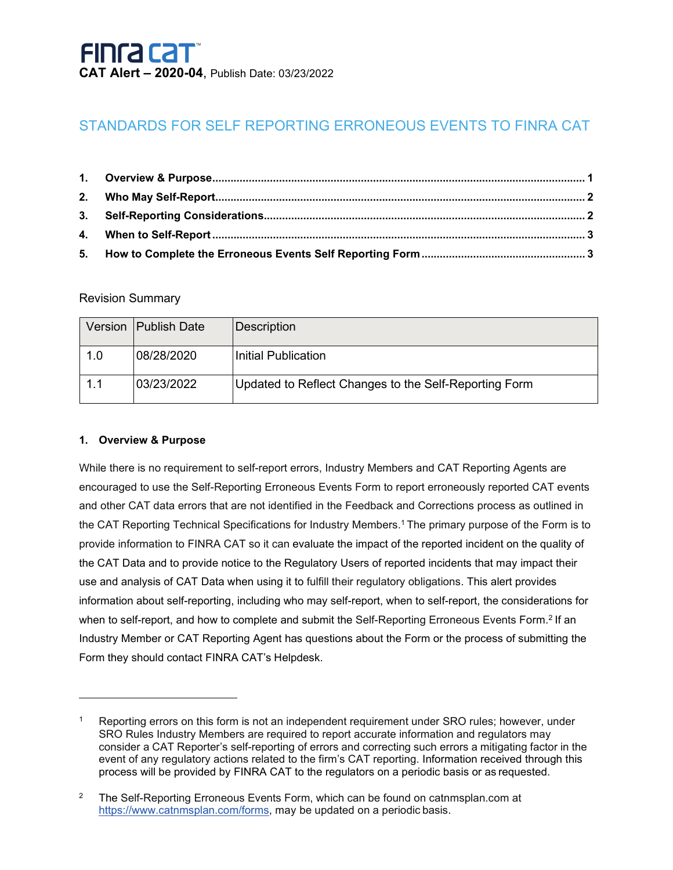### STANDARDS FOR SELF REPORTING ERRONEOUS EVENTS TO FINRA CAT

### Revision Summary

|     | Version   Publish Date | Description                                           |
|-----|------------------------|-------------------------------------------------------|
| 1.0 | 08/28/2020             | Initial Publication                                   |
| 1.1 | 03/23/2022             | Updated to Reflect Changes to the Self-Reporting Form |

### <span id="page-0-0"></span>**1. Overview & Purpose**

While there is no requirement to self-report errors, Industry Members and CAT Reporting Agents are encouraged to use the Self-Reporting Erroneous Events Form to report erroneously reported CAT events and other CAT data errors that are not identified in the Feedback and Corrections process as outlined in the CAT Reporting Technical Specifications for Industry Members[.1](#page-0-1) The primary purpose of the Form is to provide information to FINRA CAT so it can evaluate the impact of the reported incident on the quality of the CAT Data and to provide notice to the Regulatory Users of reported incidents that may impact their use and analysis of CAT Data when using it to fulfill their regulatory obligations. This alert provides information about self-reporting, including who may self-report, when to self-report, the considerations for when to self-report, and how to complete and submit the Self-Reporting Erroneous Events Form.<sup>2</sup> If an Industry Member or CAT Reporting Agent has questions about the Form or the process of submitting the Form they should contact FINRA CAT's Helpdesk.

<span id="page-0-1"></span>Reporting errors on this form is not an independent requirement under SRO rules; however, under SRO Rules Industry Members are required to report accurate information and regulators may consider a CAT Reporter's self-reporting of errors and correcting such errors a mitigating factor in the event of any regulatory actions related to the firm's CAT reporting. Information received through this process will be provided by FINRA CAT to the regulators on a periodic basis or as requested.

<span id="page-0-2"></span><sup>&</sup>lt;sup>2</sup> The Self-Reporting Erroneous Events Form, which can be found on catnmsplan.com at [https://www.catnmsplan.com/forms, m](https://www.catnmsplan.com/forms)ay be updated on a periodic basis.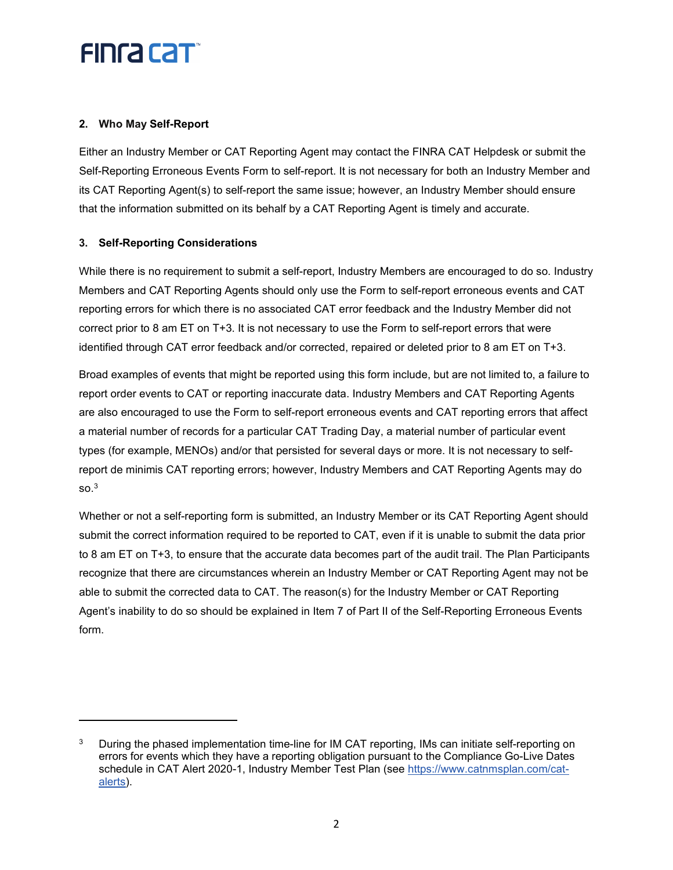## **FINGA CAT**

### <span id="page-1-0"></span>**2. Who May Self-Report**

Either an Industry Member or CAT Reporting Agent may contact the FINRA CAT Helpdesk or submit the Self-Reporting Erroneous Events Form to self-report. It is not necessary for both an Industry Member and its CAT Reporting Agent(s) to self-report the same issue; however, an Industry Member should ensure that the information submitted on its behalf by a CAT Reporting Agent is timely and accurate.

### <span id="page-1-1"></span>**3. Self-Reporting Considerations**

While there is no requirement to submit a self-report, Industry Members are encouraged to do so. Industry Members and CAT Reporting Agents should only use the Form to self-report erroneous events and CAT reporting errors for which there is no associated CAT error feedback and the Industry Member did not correct prior to 8 am ET on T+3. It is not necessary to use the Form to self-report errors that were identified through CAT error feedback and/or corrected, repaired or deleted prior to 8 am ET on T+3.

Broad examples of events that might be reported using this form include, but are not limited to, a failure to report order events to CAT or reporting inaccurate data. Industry Members and CAT Reporting Agents are also encouraged to use the Form to self-report erroneous events and CAT reporting errors that affect a material number of records for a particular CAT Trading Day, a material number of particular event types (for example, MENOs) and/or that persisted for several days or more. It is not necessary to selfreport de minimis CAT reporting errors; however, Industry Members and CAT Reporting Agents may do  $SO<sup>3</sup>$ 

Whether or not a self-reporting form is submitted, an Industry Member or its CAT Reporting Agent should submit the correct information required to be reported to CAT, even if it is unable to submit the data prior to 8 am ET on T+3, to ensure that the accurate data becomes part of the audit trail. The Plan Participants recognize that there are circumstances wherein an Industry Member or CAT Reporting Agent may not be able to submit the corrected data to CAT. The reason(s) for the Industry Member or CAT Reporting Agent's inability to do so should be explained in Item 7 of Part II of the Self-Reporting Erroneous Events form.

<span id="page-1-2"></span>During the phased implementation time-line for IM CAT reporting, IMs can initiate self-reporting on errors for events which they have a reporting obligation pursuant to the Compliance Go-Live Dates schedule in CAT Alert 2020-1, Industry Member Test Plan (see [https://www.catnmsplan.com/cat](https://www.catnmsplan.com/cat-alerts)[alerts\)](https://www.catnmsplan.com/cat-alerts).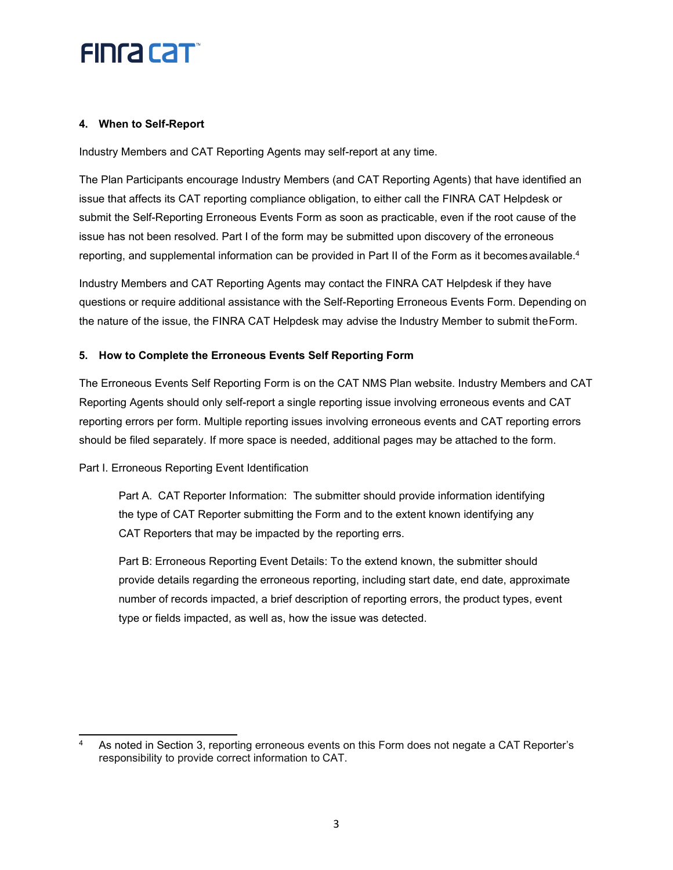### **FINGA CAT**

### <span id="page-2-0"></span>**4. When to Self-Report**

Industry Members and CAT Reporting Agents may self-report at any time.

The Plan Participants encourage Industry Members (and CAT Reporting Agents) that have identified an issue that affects its CAT reporting compliance obligation, to either call the FINRA CAT Helpdesk or submit the Self-Reporting Erroneous Events Form as soon as practicable, even if the root cause of the issue has not been resolved. Part I of the form may be submitted upon discovery of the erroneous reporting, and supplemental information can be provided in Part II of the Form as it becomes available.<sup>4</sup>

Industry Members and CAT Reporting Agents may contact the FINRA CAT Helpdesk if they have questions or require additional assistance with the Self-Reporting Erroneous Events Form. Depending on the nature of the issue, the FINRA CAT Helpdesk may advise the Industry Member to submit theForm.

### <span id="page-2-1"></span>**5. How to Complete the Erroneous Events Self Reporting Form**

The Erroneous Events Self Reporting Form is on the CAT NMS Plan website. Industry Members and CAT Reporting Agents should only self-report a single reporting issue involving erroneous events and CAT reporting errors per form. Multiple reporting issues involving erroneous events and CAT reporting errors should be filed separately. If more space is needed, additional pages may be attached to the form.

#### Part I. Erroneous Reporting Event Identification

Part A. CAT Reporter Information: The submitter should provide information identifying the type of CAT Reporter submitting the Form and to the extent known identifying any CAT Reporters that may be impacted by the reporting errs.

Part B: Erroneous Reporting Event Details: To the extend known, the submitter should provide details regarding the erroneous reporting, including start date, end date, approximate number of records impacted, a brief description of reporting errors, the product types, event type or fields impacted, as well as, how the issue was detected.

<span id="page-2-2"></span><sup>4</sup> As noted in Section 3, reporting erroneous events on this Form does not negate a CAT Reporter's responsibility to provide correct information to CAT.